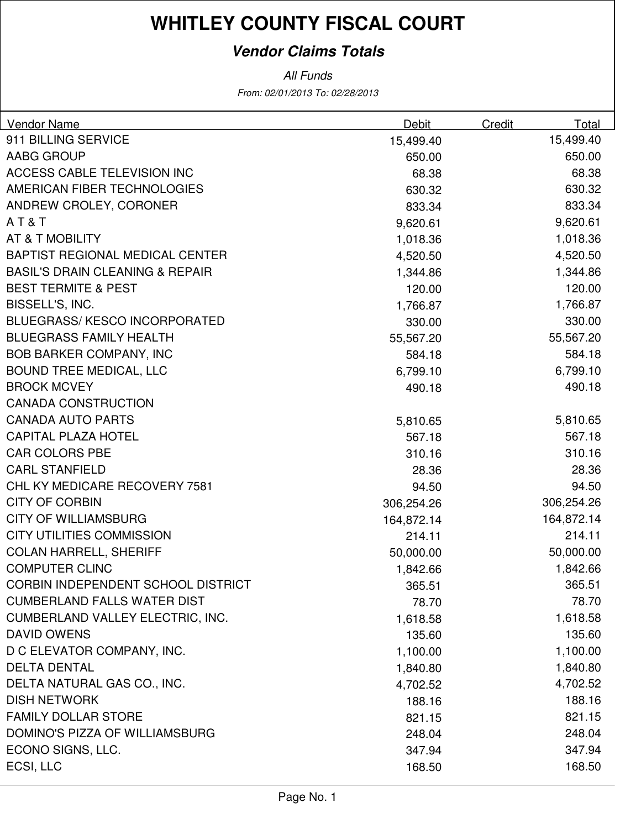### **Vendor Claims Totals**

From: 02/01/2013 To: 02/28/2013 All Funds

| Vendor Name                                | Debit      | Credit | Total      |
|--------------------------------------------|------------|--------|------------|
| 911 BILLING SERVICE                        | 15,499.40  |        | 15,499.40  |
| AABG GROUP                                 | 650.00     |        | 650.00     |
| <b>ACCESS CABLE TELEVISION INC</b>         | 68.38      |        | 68.38      |
| AMERICAN FIBER TECHNOLOGIES                | 630.32     |        | 630.32     |
| ANDREW CROLEY, CORONER                     | 833.34     |        | 833.34     |
| AT&T                                       | 9,620.61   |        | 9,620.61   |
| AT & T MOBILITY                            | 1,018.36   |        | 1,018.36   |
| <b>BAPTIST REGIONAL MEDICAL CENTER</b>     | 4,520.50   |        | 4,520.50   |
| <b>BASIL'S DRAIN CLEANING &amp; REPAIR</b> | 1,344.86   |        | 1,344.86   |
| <b>BEST TERMITE &amp; PEST</b>             | 120.00     |        | 120.00     |
| BISSELL'S, INC.                            | 1,766.87   |        | 1,766.87   |
| <b>BLUEGRASS/ KESCO INCORPORATED</b>       | 330.00     |        | 330.00     |
| <b>BLUEGRASS FAMILY HEALTH</b>             | 55,567.20  |        | 55,567.20  |
| <b>BOB BARKER COMPANY, INC</b>             | 584.18     |        | 584.18     |
| <b>BOUND TREE MEDICAL, LLC</b>             | 6,799.10   |        | 6,799.10   |
| <b>BROCK MCVEY</b>                         | 490.18     |        | 490.18     |
| <b>CANADA CONSTRUCTION</b>                 |            |        |            |
| <b>CANADA AUTO PARTS</b>                   | 5,810.65   |        | 5,810.65   |
| <b>CAPITAL PLAZA HOTEL</b>                 | 567.18     |        | 567.18     |
| <b>CAR COLORS PBE</b>                      | 310.16     |        | 310.16     |
| <b>CARL STANFIELD</b>                      | 28.36      |        | 28.36      |
| CHL KY MEDICARE RECOVERY 7581              | 94.50      |        | 94.50      |
| <b>CITY OF CORBIN</b>                      | 306,254.26 |        | 306,254.26 |
| <b>CITY OF WILLIAMSBURG</b>                | 164,872.14 |        | 164,872.14 |
| <b>CITY UTILITIES COMMISSION</b>           | 214.11     |        | 214.11     |
| <b>COLAN HARRELL, SHERIFF</b>              | 50,000.00  |        | 50,000.00  |
| <b>COMPUTER CLINC</b>                      | 1,842.66   |        | 1,842.66   |
| <b>CORBIN INDEPENDENT SCHOOL DISTRICT</b>  | 365.51     |        | 365.51     |
| <b>CUMBERLAND FALLS WATER DIST</b>         | 78.70      |        | 78.70      |
| CUMBERLAND VALLEY ELECTRIC, INC.           | 1,618.58   |        | 1,618.58   |
| <b>DAVID OWENS</b>                         | 135.60     |        | 135.60     |
| D C ELEVATOR COMPANY, INC.                 | 1,100.00   |        | 1,100.00   |
| <b>DELTA DENTAL</b>                        | 1,840.80   |        | 1,840.80   |
| DELTA NATURAL GAS CO., INC.                | 4,702.52   |        | 4,702.52   |
| <b>DISH NETWORK</b>                        | 188.16     |        | 188.16     |
| <b>FAMILY DOLLAR STORE</b>                 | 821.15     |        | 821.15     |
| DOMINO'S PIZZA OF WILLIAMSBURG             | 248.04     |        | 248.04     |
| ECONO SIGNS, LLC.                          | 347.94     |        | 347.94     |
| ECSI, LLC                                  | 168.50     |        | 168.50     |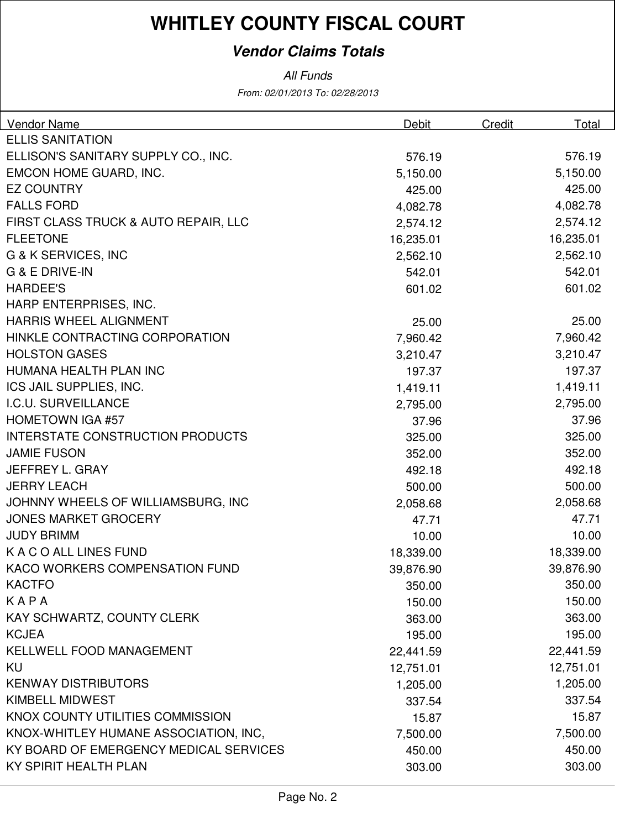### **Vendor Claims Totals**

All Funds

From: 02/01/2013 To: 02/28/2013

| <b>Vendor Name</b>                      | Debit     | Credit | Total     |
|-----------------------------------------|-----------|--------|-----------|
| <b>ELLIS SANITATION</b>                 |           |        |           |
| ELLISON'S SANITARY SUPPLY CO., INC.     | 576.19    |        | 576.19    |
| EMCON HOME GUARD, INC.                  | 5,150.00  |        | 5,150.00  |
| <b>EZ COUNTRY</b>                       | 425.00    |        | 425.00    |
| <b>FALLS FORD</b>                       | 4,082.78  |        | 4,082.78  |
| FIRST CLASS TRUCK & AUTO REPAIR, LLC    | 2,574.12  |        | 2,574.12  |
| <b>FLEETONE</b>                         | 16,235.01 |        | 16,235.01 |
| G & K SERVICES, INC                     | 2,562.10  |        | 2,562.10  |
| G & E DRIVE-IN                          | 542.01    |        | 542.01    |
| <b>HARDEE'S</b>                         | 601.02    |        | 601.02    |
| HARP ENTERPRISES, INC.                  |           |        |           |
| <b>HARRIS WHEEL ALIGNMENT</b>           | 25.00     |        | 25.00     |
| HINKLE CONTRACTING CORPORATION          | 7,960.42  |        | 7,960.42  |
| <b>HOLSTON GASES</b>                    | 3,210.47  |        | 3,210.47  |
| HUMANA HEALTH PLAN INC                  | 197.37    |        | 197.37    |
| ICS JAIL SUPPLIES, INC.                 | 1,419.11  |        | 1,419.11  |
| I.C.U. SURVEILLANCE                     | 2,795.00  |        | 2,795.00  |
| <b>HOMETOWN IGA #57</b>                 | 37.96     |        | 37.96     |
| <b>INTERSTATE CONSTRUCTION PRODUCTS</b> | 325.00    |        | 325.00    |
| <b>JAMIE FUSON</b>                      | 352.00    |        | 352.00    |
| JEFFREY L. GRAY                         | 492.18    |        | 492.18    |
| <b>JERRY LEACH</b>                      | 500.00    |        | 500.00    |
| JOHNNY WHEELS OF WILLIAMSBURG, INC      | 2,058.68  |        | 2,058.68  |
| <b>JONES MARKET GROCERY</b>             | 47.71     |        | 47.71     |
| <b>JUDY BRIMM</b>                       | 10.00     |        | 10.00     |
| K A C O ALL LINES FUND                  | 18,339.00 |        | 18,339.00 |
| KACO WORKERS COMPENSATION FUND          | 39,876.90 |        | 39,876.90 |
| <b>KACTFO</b>                           | 350.00    |        | 350.00    |
| KAPA                                    | 150.00    |        | 150.00    |
| <b>KAY SCHWARTZ, COUNTY CLERK</b>       | 363.00    |        | 363.00    |
| <b>KCJEA</b>                            | 195.00    |        | 195.00    |
| <b>KELLWELL FOOD MANAGEMENT</b>         | 22,441.59 |        | 22,441.59 |
| KU                                      | 12,751.01 |        | 12,751.01 |
| <b>KENWAY DISTRIBUTORS</b>              | 1,205.00  |        | 1,205.00  |
| <b>KIMBELL MIDWEST</b>                  | 337.54    |        | 337.54    |
| KNOX COUNTY UTILITIES COMMISSION        | 15.87     |        | 15.87     |
| KNOX-WHITLEY HUMANE ASSOCIATION, INC,   | 7,500.00  |        | 7,500.00  |
| KY BOARD OF EMERGENCY MEDICAL SERVICES  | 450.00    |        | 450.00    |
| KY SPIRIT HEALTH PLAN                   | 303.00    |        | 303.00    |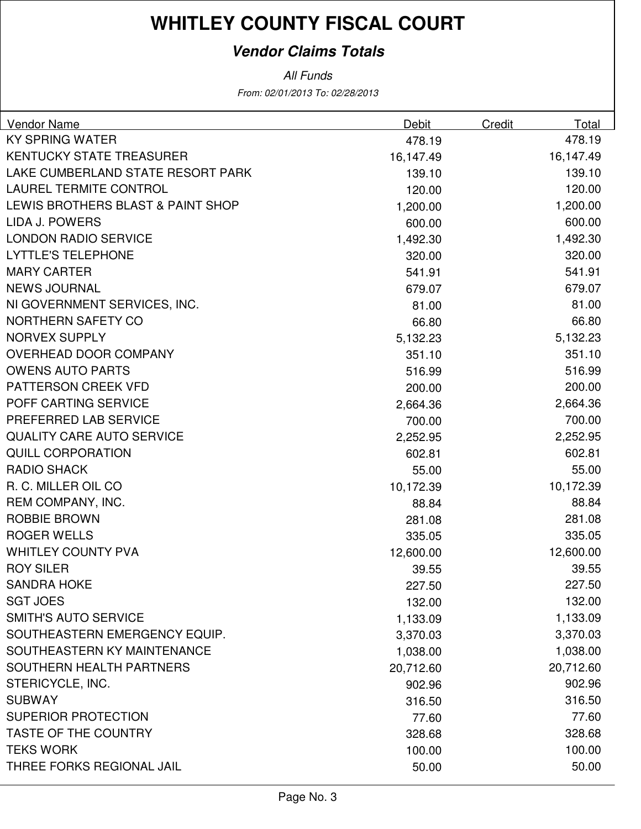### **Vendor Claims Totals**

From: 02/01/2013 To: 02/28/2013 All Funds

| <b>Vendor Name</b>                | Debit     | Credit | Total     |
|-----------------------------------|-----------|--------|-----------|
| <b>KY SPRING WATER</b>            | 478.19    |        | 478.19    |
| <b>KENTUCKY STATE TREASURER</b>   | 16,147.49 |        | 16,147.49 |
| LAKE CUMBERLAND STATE RESORT PARK | 139.10    |        | 139.10    |
| <b>LAUREL TERMITE CONTROL</b>     | 120.00    |        | 120.00    |
| LEWIS BROTHERS BLAST & PAINT SHOP | 1,200.00  |        | 1,200.00  |
| <b>LIDA J. POWERS</b>             | 600.00    |        | 600.00    |
| <b>LONDON RADIO SERVICE</b>       | 1,492.30  |        | 1,492.30  |
| <b>LYTTLE'S TELEPHONE</b>         | 320.00    |        | 320.00    |
| <b>MARY CARTER</b>                | 541.91    |        | 541.91    |
| <b>NEWS JOURNAL</b>               | 679.07    |        | 679.07    |
| NI GOVERNMENT SERVICES, INC.      | 81.00     |        | 81.00     |
| <b>NORTHERN SAFETY CO</b>         | 66.80     |        | 66.80     |
| <b>NORVEX SUPPLY</b>              | 5,132.23  |        | 5,132.23  |
| <b>OVERHEAD DOOR COMPANY</b>      | 351.10    |        | 351.10    |
| <b>OWENS AUTO PARTS</b>           | 516.99    |        | 516.99    |
| <b>PATTERSON CREEK VFD</b>        | 200.00    |        | 200.00    |
| POFF CARTING SERVICE              | 2,664.36  |        | 2,664.36  |
| PREFERRED LAB SERVICE             | 700.00    |        | 700.00    |
| <b>QUALITY CARE AUTO SERVICE</b>  | 2,252.95  |        | 2,252.95  |
| <b>QUILL CORPORATION</b>          | 602.81    |        | 602.81    |
| <b>RADIO SHACK</b>                | 55.00     |        | 55.00     |
| R. C. MILLER OIL CO               | 10,172.39 |        | 10,172.39 |
| REM COMPANY, INC.                 | 88.84     |        | 88.84     |
| <b>ROBBIE BROWN</b>               | 281.08    |        | 281.08    |
| <b>ROGER WELLS</b>                | 335.05    |        | 335.05    |
| <b>WHITLEY COUNTY PVA</b>         | 12,600.00 |        | 12,600.00 |
| <b>ROY SILER</b>                  | 39.55     |        | 39.55     |
| <b>SANDRA HOKE</b>                | 227.50    |        | 227.50    |
| <b>SGT JOES</b>                   | 132.00    |        | 132.00    |
| <b>SMITH'S AUTO SERVICE</b>       | 1,133.09  |        | 1,133.09  |
| SOUTHEASTERN EMERGENCY EQUIP.     | 3,370.03  |        | 3,370.03  |
| SOUTHEASTERN KY MAINTENANCE       | 1,038.00  |        | 1,038.00  |
| SOUTHERN HEALTH PARTNERS          | 20,712.60 |        | 20,712.60 |
| STERICYCLE, INC.                  | 902.96    |        | 902.96    |
| <b>SUBWAY</b>                     | 316.50    |        | 316.50    |
| <b>SUPERIOR PROTECTION</b>        | 77.60     |        | 77.60     |
| <b>TASTE OF THE COUNTRY</b>       | 328.68    |        | 328.68    |
| <b>TEKS WORK</b>                  | 100.00    |        | 100.00    |
| THREE FORKS REGIONAL JAIL         | 50.00     |        | 50.00     |